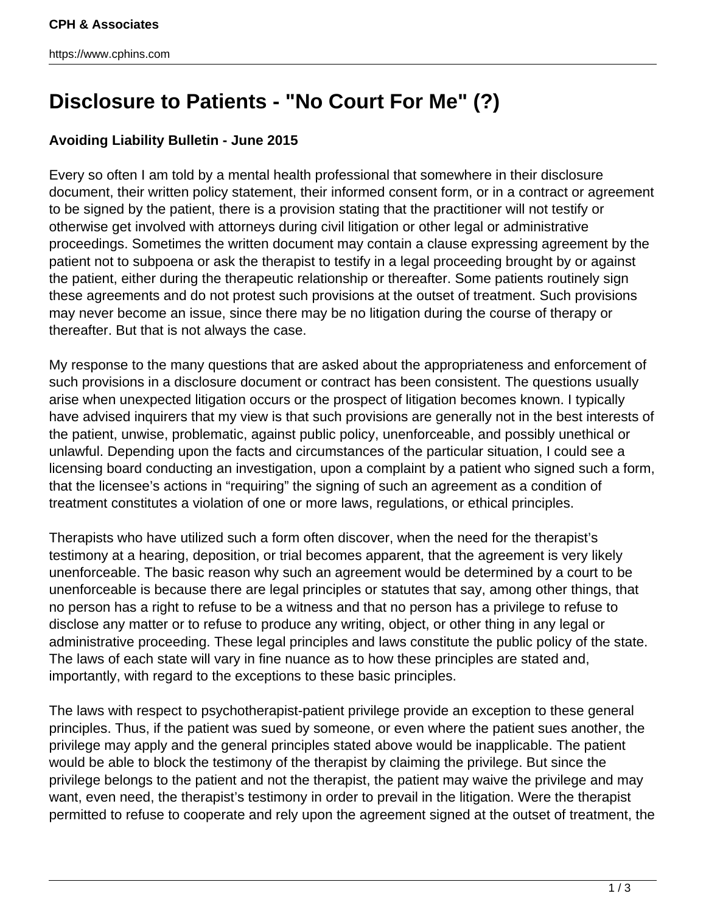## **Disclosure to Patients - "No Court For Me" (?)**

## **Avoiding Liability Bulletin - June 2015**

Every so often I am told by a mental health professional that somewhere in their disclosure document, their written policy statement, their informed consent form, or in a contract or agreement to be signed by the patient, there is a provision stating that the practitioner will not testify or otherwise get involved with attorneys during civil litigation or other legal or administrative proceedings. Sometimes the written document may contain a clause expressing agreement by the patient not to subpoena or ask the therapist to testify in a legal proceeding brought by or against the patient, either during the therapeutic relationship or thereafter. Some patients routinely sign these agreements and do not protest such provisions at the outset of treatment. Such provisions may never become an issue, since there may be no litigation during the course of therapy or thereafter. But that is not always the case.

My response to the many questions that are asked about the appropriateness and enforcement of such provisions in a disclosure document or contract has been consistent. The questions usually arise when unexpected litigation occurs or the prospect of litigation becomes known. I typically have advised inquirers that my view is that such provisions are generally not in the best interests of the patient, unwise, problematic, against public policy, unenforceable, and possibly unethical or unlawful. Depending upon the facts and circumstances of the particular situation, I could see a licensing board conducting an investigation, upon a complaint by a patient who signed such a form, that the licensee's actions in "requiring" the signing of such an agreement as a condition of treatment constitutes a violation of one or more laws, regulations, or ethical principles.

Therapists who have utilized such a form often discover, when the need for the therapist's testimony at a hearing, deposition, or trial becomes apparent, that the agreement is very likely unenforceable. The basic reason why such an agreement would be determined by a court to be unenforceable is because there are legal principles or statutes that say, among other things, that no person has a right to refuse to be a witness and that no person has a privilege to refuse to disclose any matter or to refuse to produce any writing, object, or other thing in any legal or administrative proceeding. These legal principles and laws constitute the public policy of the state. The laws of each state will vary in fine nuance as to how these principles are stated and, importantly, with regard to the exceptions to these basic principles.

The laws with respect to psychotherapist-patient privilege provide an exception to these general principles. Thus, if the patient was sued by someone, or even where the patient sues another, the privilege may apply and the general principles stated above would be inapplicable. The patient would be able to block the testimony of the therapist by claiming the privilege. But since the privilege belongs to the patient and not the therapist, the patient may waive the privilege and may want, even need, the therapist's testimony in order to prevail in the litigation. Were the therapist permitted to refuse to cooperate and rely upon the agreement signed at the outset of treatment, the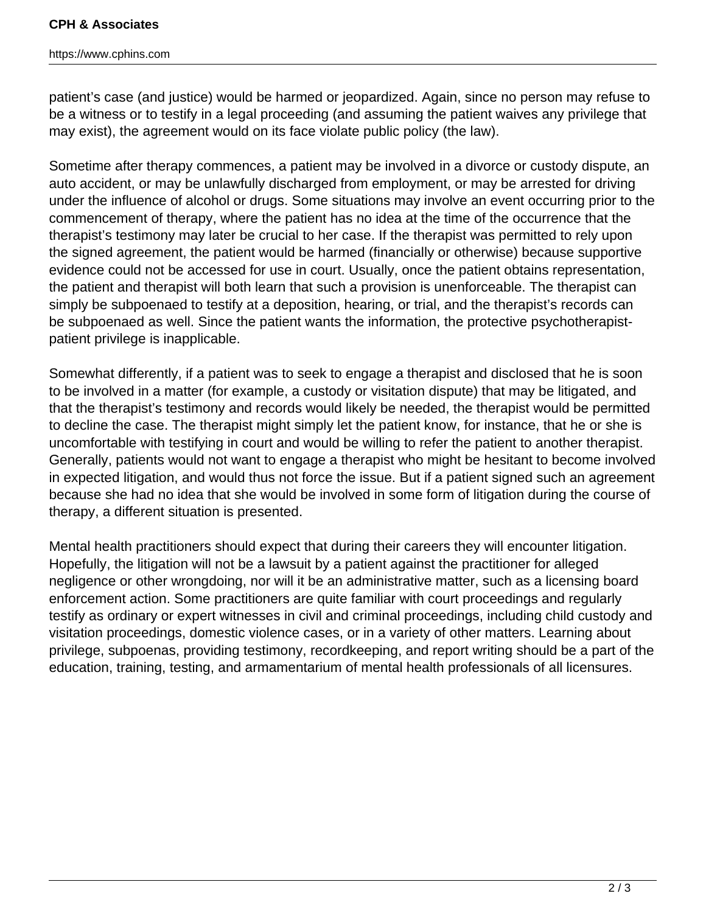## **CPH & Associates**

## https://www.cphins.com

patient's case (and justice) would be harmed or jeopardized. Again, since no person may refuse to be a witness or to testify in a legal proceeding (and assuming the patient waives any privilege that may exist), the agreement would on its face violate public policy (the law).

Sometime after therapy commences, a patient may be involved in a divorce or custody dispute, an auto accident, or may be unlawfully discharged from employment, or may be arrested for driving under the influence of alcohol or drugs. Some situations may involve an event occurring prior to the commencement of therapy, where the patient has no idea at the time of the occurrence that the therapist's testimony may later be crucial to her case. If the therapist was permitted to rely upon the signed agreement, the patient would be harmed (financially or otherwise) because supportive evidence could not be accessed for use in court. Usually, once the patient obtains representation, the patient and therapist will both learn that such a provision is unenforceable. The therapist can simply be subpoenaed to testify at a deposition, hearing, or trial, and the therapist's records can be subpoenaed as well. Since the patient wants the information, the protective psychotherapistpatient privilege is inapplicable.

Somewhat differently, if a patient was to seek to engage a therapist and disclosed that he is soon to be involved in a matter (for example, a custody or visitation dispute) that may be litigated, and that the therapist's testimony and records would likely be needed, the therapist would be permitted to decline the case. The therapist might simply let the patient know, for instance, that he or she is uncomfortable with testifying in court and would be willing to refer the patient to another therapist. Generally, patients would not want to engage a therapist who might be hesitant to become involved in expected litigation, and would thus not force the issue. But if a patient signed such an agreement because she had no idea that she would be involved in some form of litigation during the course of therapy, a different situation is presented.

Mental health practitioners should expect that during their careers they will encounter litigation. Hopefully, the litigation will not be a lawsuit by a patient against the practitioner for alleged negligence or other wrongdoing, nor will it be an administrative matter, such as a licensing board enforcement action. Some practitioners are quite familiar with court proceedings and regularly testify as ordinary or expert witnesses in civil and criminal proceedings, including child custody and visitation proceedings, domestic violence cases, or in a variety of other matters. Learning about privilege, subpoenas, providing testimony, recordkeeping, and report writing should be a part of the education, training, testing, and armamentarium of mental health professionals of all licensures.